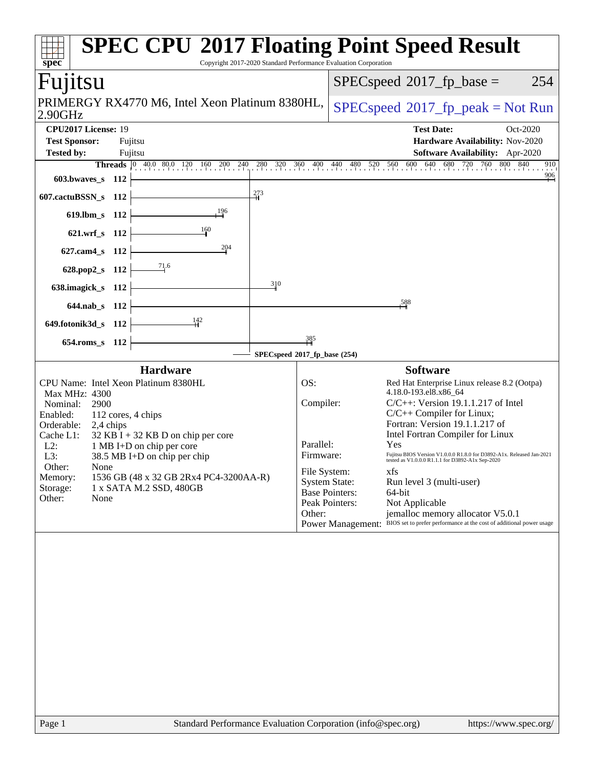| $spec^*$                                                                                                                                                                                     |                                 |                                                                                                                                                                        | Copyright 2017-2020 Standard Performance Evaluation Corporation |                                                                                                           | <b>SPEC CPU®2017 Floating Point Speed Result</b>                                                                                                                                                                                                                                                                                                                                                                                                                                                                                                   |
|----------------------------------------------------------------------------------------------------------------------------------------------------------------------------------------------|---------------------------------|------------------------------------------------------------------------------------------------------------------------------------------------------------------------|-----------------------------------------------------------------|-----------------------------------------------------------------------------------------------------------|----------------------------------------------------------------------------------------------------------------------------------------------------------------------------------------------------------------------------------------------------------------------------------------------------------------------------------------------------------------------------------------------------------------------------------------------------------------------------------------------------------------------------------------------------|
| Fujitsu                                                                                                                                                                                      |                                 |                                                                                                                                                                        |                                                                 |                                                                                                           | $SPEC speed^{\circ}2017$ fp base =<br>254                                                                                                                                                                                                                                                                                                                                                                                                                                                                                                          |
| 2.90GHz                                                                                                                                                                                      |                                 | PRIMERGY RX4770 M6, Intel Xeon Platinum 8380HL,                                                                                                                        |                                                                 |                                                                                                           | $SPEC speed^{\circ}2017\_fp\_peak = Not Run$                                                                                                                                                                                                                                                                                                                                                                                                                                                                                                       |
| CPU2017 License: 19<br><b>Test Sponsor:</b><br><b>Tested by:</b>                                                                                                                             | Fujitsu<br>Fujitsu              |                                                                                                                                                                        |                                                                 |                                                                                                           | <b>Test Date:</b><br>Oct-2020<br>Hardware Availability: Nov-2020<br>Software Availability: Apr-2020                                                                                                                                                                                                                                                                                                                                                                                                                                                |
| 603.bwaves_s 112                                                                                                                                                                             |                                 |                                                                                                                                                                        |                                                                 |                                                                                                           | <b>Threads</b> 0 40.0 80.0 120 160 200 240 280 320 360 400 440 480 520 560 600 640 680 720 760 800<br>800<br>840<br>910<br>$\frac{906}{1}$                                                                                                                                                                                                                                                                                                                                                                                                         |
| 607.cactuBSSN_s 112                                                                                                                                                                          |                                 |                                                                                                                                                                        | 273                                                             |                                                                                                           |                                                                                                                                                                                                                                                                                                                                                                                                                                                                                                                                                    |
| 619.lbm s 112                                                                                                                                                                                |                                 | 196                                                                                                                                                                    |                                                                 |                                                                                                           |                                                                                                                                                                                                                                                                                                                                                                                                                                                                                                                                                    |
| 621.wrf_s 112                                                                                                                                                                                |                                 | 160                                                                                                                                                                    |                                                                 |                                                                                                           |                                                                                                                                                                                                                                                                                                                                                                                                                                                                                                                                                    |
| $627$ .cam $4_s$                                                                                                                                                                             | - 112                           | 204                                                                                                                                                                    |                                                                 |                                                                                                           |                                                                                                                                                                                                                                                                                                                                                                                                                                                                                                                                                    |
| 628.pop2_s 112<br>638.imagick_s 112                                                                                                                                                          |                                 | $\frac{71.6}{2}$                                                                                                                                                       | 310                                                             |                                                                                                           |                                                                                                                                                                                                                                                                                                                                                                                                                                                                                                                                                    |
| 644.nab s 112                                                                                                                                                                                |                                 |                                                                                                                                                                        |                                                                 |                                                                                                           | 588,                                                                                                                                                                                                                                                                                                                                                                                                                                                                                                                                               |
| 649.fotonik3d_s 112                                                                                                                                                                          |                                 | 142                                                                                                                                                                    |                                                                 |                                                                                                           |                                                                                                                                                                                                                                                                                                                                                                                                                                                                                                                                                    |
| 654.roms_s 112                                                                                                                                                                               |                                 |                                                                                                                                                                        | 385                                                             |                                                                                                           |                                                                                                                                                                                                                                                                                                                                                                                                                                                                                                                                                    |
|                                                                                                                                                                                              |                                 | <b>Hardware</b>                                                                                                                                                        | SPECspeed®2017_fp_base (254)                                    |                                                                                                           | <b>Software</b>                                                                                                                                                                                                                                                                                                                                                                                                                                                                                                                                    |
| CPU Name: Intel Xeon Platinum 8380HL<br>Max MHz: 4300<br>Nominal:<br>2900<br>Enabled:<br>Orderable:<br>Cache L1:<br>$L2$ :<br>L3:<br>Other:<br>None<br>Memory:<br>Storage:<br>Other:<br>None | 112 cores, 4 chips<br>2,4 chips | $32$ KB I + 32 KB D on chip per core<br>1 MB I+D on chip per core<br>38.5 MB I+D on chip per chip<br>1536 GB (48 x 32 GB 2Rx4 PC4-3200AA-R)<br>1 x SATA M.2 SSD, 480GB | OS:<br>Parallel:<br>Other:                                      | Compiler:<br>Firmware:<br>File System:<br><b>System State:</b><br><b>Base Pointers:</b><br>Peak Pointers: | Red Hat Enterprise Linux release 8.2 (Ootpa)<br>4.18.0-193.el8.x86_64<br>$C/C++$ : Version 19.1.1.217 of Intel<br>C/C++ Compiler for Linux;<br>Fortran: Version 19.1.1.217 of<br>Intel Fortran Compiler for Linux<br>Yes<br>Fujitsu BIOS Version V1.0.0.0 R1.8.0 for D3892-A1x. Released Jan-2021<br>tested as V1.0.0.0 R1.1.1 for D3892-A1x Sep-2020<br>xfs<br>Run level 3 (multi-user)<br>64-bit<br>Not Applicable<br>jemalloc memory allocator V5.0.1<br>Power Management: BIOS set to prefer performance at the cost of additional power usage |
| Page 1                                                                                                                                                                                       |                                 | Standard Performance Evaluation Corporation (info@spec.org)                                                                                                            |                                                                 |                                                                                                           | https://www.spec.org/                                                                                                                                                                                                                                                                                                                                                                                                                                                                                                                              |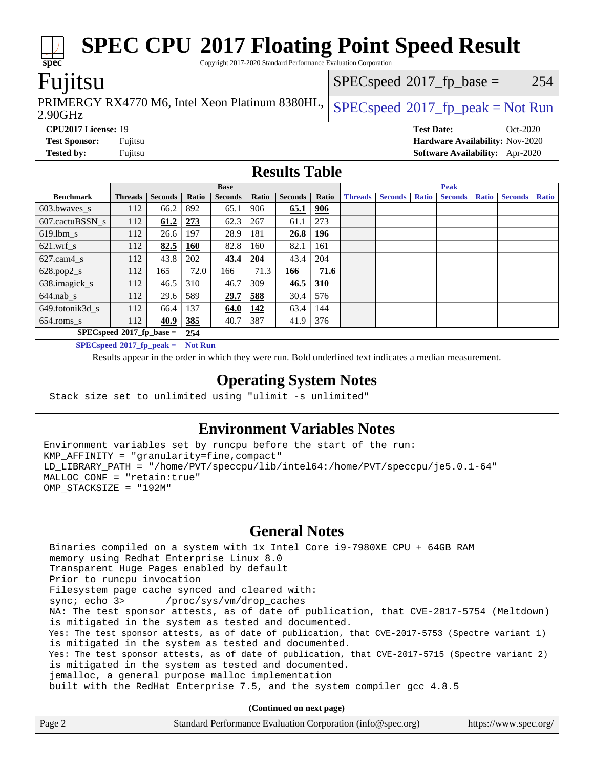## **[SPEC CPU](http://www.spec.org/auto/cpu2017/Docs/result-fields.html#SPECCPU2017FloatingPointSpeedResult)[2017 Floating Point Speed Result](http://www.spec.org/auto/cpu2017/Docs/result-fields.html#SPECCPU2017FloatingPointSpeedResult)** Copyright 2017-2020 Standard Performance Evaluation Corporation  $SPECspeed^{\circledcirc}2017_fp\_base = 254$  $SPECspeed^{\circledcirc}2017_fp\_base = 254$

### Fujitsu

**[spec](http://www.spec.org/)**

2.90GHz PRIMERGY RX4770 M6, Intel Xeon Platinum 8380HL,  $SPECspeed^{\circ}2017\_fp\_peak = Not Run$  $SPECspeed^{\circ}2017\_fp\_peak = Not Run$ 

**[CPU2017 License:](http://www.spec.org/auto/cpu2017/Docs/result-fields.html#CPU2017License)** 19 **[Test Date:](http://www.spec.org/auto/cpu2017/Docs/result-fields.html#TestDate)** Oct-2020 **[Test Sponsor:](http://www.spec.org/auto/cpu2017/Docs/result-fields.html#TestSponsor)** Fujitsu **[Hardware Availability:](http://www.spec.org/auto/cpu2017/Docs/result-fields.html#HardwareAvailability)** Nov-2020 **[Tested by:](http://www.spec.org/auto/cpu2017/Docs/result-fields.html#Testedby)** Fujitsu **[Software Availability:](http://www.spec.org/auto/cpu2017/Docs/result-fields.html#SoftwareAvailability)** Apr-2020

#### **[Results Table](http://www.spec.org/auto/cpu2017/Docs/result-fields.html#ResultsTable)**

|                             | <b>Base</b>    |                |                |                |            | <b>Peak</b>    |            |                |                |              |                |              |                |              |
|-----------------------------|----------------|----------------|----------------|----------------|------------|----------------|------------|----------------|----------------|--------------|----------------|--------------|----------------|--------------|
| <b>Benchmark</b>            | <b>Threads</b> | <b>Seconds</b> | Ratio          | <b>Seconds</b> | Ratio      | <b>Seconds</b> | Ratio      | <b>Threads</b> | <b>Seconds</b> | <b>Ratio</b> | <b>Seconds</b> | <b>Ratio</b> | <b>Seconds</b> | <b>Ratio</b> |
| 603.bwayes_s                | 112            | 66.2           | 892            | 65.1           | 906        | 65.1           | <u>906</u> |                |                |              |                |              |                |              |
| 607.cactuBSSN s             | 112            | 61.2           | 273            | 62.3           | 267        | 61.1           | 273        |                |                |              |                |              |                |              |
| $619.1$ bm_s                | 112            | 26.6           | 197            | 28.9           | 181        | 26.8           | 196        |                |                |              |                |              |                |              |
| $621.wrf$ s                 | 112            | 82.5           | <b>160</b>     | 82.8           | 160        | 82.1           | 161        |                |                |              |                |              |                |              |
| $627$ .cam $4$ <sub>S</sub> | 112            | 43.8           | 202            | 43.4           | 204        | 43.4           | 204        |                |                |              |                |              |                |              |
| $628.pop2_s$                | 112            | 165            | 72.0           | 166            | 71.3       | 166            | 71.6       |                |                |              |                |              |                |              |
| 638.imagick_s               | 112            | 46.5           | 310            | 46.7           | 309        | 46.5           | 310        |                |                |              |                |              |                |              |
| $644$ .nab s                | 112            | 29.6           | 589            | 29.7           | 588        | 30.4           | 576        |                |                |              |                |              |                |              |
| 649.fotonik3d s             | 112            | 66.4           | 137            | 64.0           | <u>142</u> | 63.4           | 144        |                |                |              |                |              |                |              |
| $654$ .roms s               | 112            | 40.9           | 385            | 40.7           | 387        | 41.9           | 376        |                |                |              |                |              |                |              |
| $SPECspeed*2017fp base =$   |                |                | 254            |                |            |                |            |                |                |              |                |              |                |              |
| $SPECspeed*2017$ fp peak =  |                |                | <b>Not Run</b> |                |            |                |            |                |                |              |                |              |                |              |

Results appear in the [order in which they were run.](http://www.spec.org/auto/cpu2017/Docs/result-fields.html#RunOrder) Bold underlined text [indicates a median measurement](http://www.spec.org/auto/cpu2017/Docs/result-fields.html#Median).

#### **[Operating System Notes](http://www.spec.org/auto/cpu2017/Docs/result-fields.html#OperatingSystemNotes)**

Stack size set to unlimited using "ulimit -s unlimited"

#### **[Environment Variables Notes](http://www.spec.org/auto/cpu2017/Docs/result-fields.html#EnvironmentVariablesNotes)**

Environment variables set by runcpu before the start of the run: KMP\_AFFINITY = "granularity=fine,compact" LD\_LIBRARY\_PATH = "/home/PVT/speccpu/lib/intel64:/home/PVT/speccpu/je5.0.1-64" MALLOC\_CONF = "retain:true" OMP\_STACKSIZE = "192M"

#### **[General Notes](http://www.spec.org/auto/cpu2017/Docs/result-fields.html#GeneralNotes)**

 Binaries compiled on a system with 1x Intel Core i9-7980XE CPU + 64GB RAM memory using Redhat Enterprise Linux 8.0 Transparent Huge Pages enabled by default Prior to runcpu invocation Filesystem page cache synced and cleared with: sync; echo 3> /proc/sys/vm/drop\_caches NA: The test sponsor attests, as of date of publication, that CVE-2017-5754 (Meltdown) is mitigated in the system as tested and documented. Yes: The test sponsor attests, as of date of publication, that CVE-2017-5753 (Spectre variant 1) is mitigated in the system as tested and documented. Yes: The test sponsor attests, as of date of publication, that CVE-2017-5715 (Spectre variant 2) is mitigated in the system as tested and documented. jemalloc, a general purpose malloc implementation built with the RedHat Enterprise 7.5, and the system compiler gcc 4.8.5

**(Continued on next page)**

| Page 2 | Standard Performance Evaluation Corporation (info@spec.org) | https://www.spec.org/ |
|--------|-------------------------------------------------------------|-----------------------|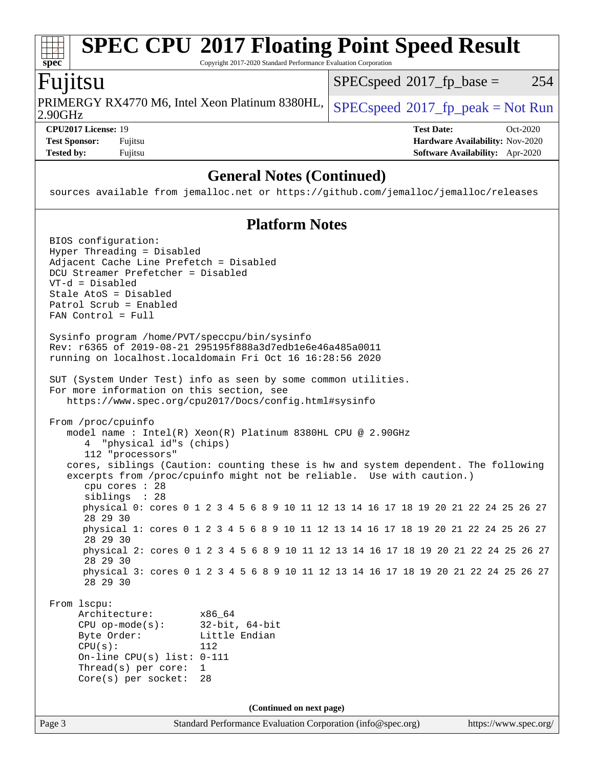#### **[spec](http://www.spec.org/) [SPEC CPU](http://www.spec.org/auto/cpu2017/Docs/result-fields.html#SPECCPU2017FloatingPointSpeedResult)[2017 Floating Point Speed Result](http://www.spec.org/auto/cpu2017/Docs/result-fields.html#SPECCPU2017FloatingPointSpeedResult)** Copyright 2017-2020 Standard Performance Evaluation Corporation Fujitsu 2.90GHz PRIMERGY RX4770 M6, Intel Xeon Platinum 8380HL,  $SPEC speed^{\circ}2017\_fp\_peak = Not Run$  $SPECspeed^{\circledcirc}2017_fp\_base = 254$  $SPECspeed^{\circledcirc}2017_fp\_base = 254$ **[CPU2017 License:](http://www.spec.org/auto/cpu2017/Docs/result-fields.html#CPU2017License)** 19 **[Test Date:](http://www.spec.org/auto/cpu2017/Docs/result-fields.html#TestDate)** Oct-2020 **[Test Sponsor:](http://www.spec.org/auto/cpu2017/Docs/result-fields.html#TestSponsor)** Fujitsu **[Hardware Availability:](http://www.spec.org/auto/cpu2017/Docs/result-fields.html#HardwareAvailability)** Nov-2020 **[Tested by:](http://www.spec.org/auto/cpu2017/Docs/result-fields.html#Testedby)** Fujitsu **[Software Availability:](http://www.spec.org/auto/cpu2017/Docs/result-fields.html#SoftwareAvailability)** Apr-2020

#### **[General Notes \(Continued\)](http://www.spec.org/auto/cpu2017/Docs/result-fields.html#GeneralNotes)**

sources available from jemalloc.net or <https://github.com/jemalloc/jemalloc/releases>

#### **[Platform Notes](http://www.spec.org/auto/cpu2017/Docs/result-fields.html#PlatformNotes)**

Page 3 Standard Performance Evaluation Corporation [\(info@spec.org\)](mailto:info@spec.org) <https://www.spec.org/> BIOS configuration: Hyper Threading = Disabled Adjacent Cache Line Prefetch = Disabled DCU Streamer Prefetcher = Disabled VT-d = Disabled Stale AtoS = Disabled Patrol Scrub = Enabled FAN Control = Full Sysinfo program /home/PVT/speccpu/bin/sysinfo Rev: r6365 of 2019-08-21 295195f888a3d7edb1e6e46a485a0011 running on localhost.localdomain Fri Oct 16 16:28:56 2020 SUT (System Under Test) info as seen by some common utilities. For more information on this section, see <https://www.spec.org/cpu2017/Docs/config.html#sysinfo> From /proc/cpuinfo model name : Intel(R) Xeon(R) Platinum 8380HL CPU @ 2.90GHz 4 "physical id"s (chips) 112 "processors" cores, siblings (Caution: counting these is hw and system dependent. The following excerpts from /proc/cpuinfo might not be reliable. Use with caution.) cpu cores : 28 siblings : 28 physical 0: cores 0 1 2 3 4 5 6 8 9 10 11 12 13 14 16 17 18 19 20 21 22 24 25 26 27 28 29 30 physical 1: cores 0 1 2 3 4 5 6 8 9 10 11 12 13 14 16 17 18 19 20 21 22 24 25 26 27 28 29 30 physical 2: cores 0 1 2 3 4 5 6 8 9 10 11 12 13 14 16 17 18 19 20 21 22 24 25 26 27 28 29 30 physical 3: cores 0 1 2 3 4 5 6 8 9 10 11 12 13 14 16 17 18 19 20 21 22 24 25 26 27 28 29 30 From lscpu: Architecture: x86\_64 CPU op-mode(s): 32-bit, 64-bit Byte Order: Little Endian  $CPU(s):$  112 On-line CPU(s) list: 0-111 Thread(s) per core: 1 Core(s) per socket: 28 **(Continued on next page)**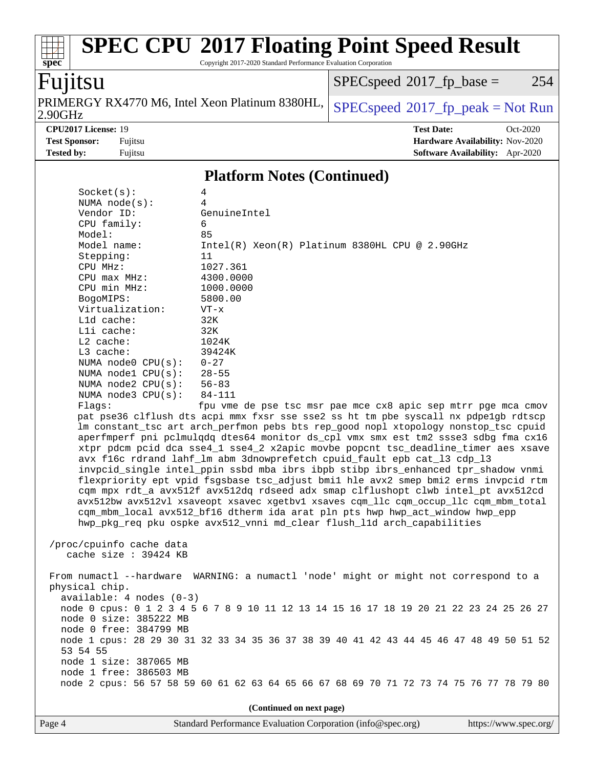Copyright 2017-2020 Standard Performance Evaluation Corporation

# Fujitsu

**[spec](http://www.spec.org/)**

2.90GHz PRIMERGY RX4770 M6, Intel Xeon Platinum 8380HL,  $SPECspeed^{\circ}2017\_fp\_peak = Not Run$  $SPECspeed^{\circ}2017\_fp\_peak = Not Run$ 

 $SPECspeed^{\circ}2017_fp\_base = 254$  $SPECspeed^{\circ}2017_fp\_base = 254$ 

**[CPU2017 License:](http://www.spec.org/auto/cpu2017/Docs/result-fields.html#CPU2017License)** 19 **[Test Date:](http://www.spec.org/auto/cpu2017/Docs/result-fields.html#TestDate)** Oct-2020 **[Test Sponsor:](http://www.spec.org/auto/cpu2017/Docs/result-fields.html#TestSponsor)** Fujitsu **[Hardware Availability:](http://www.spec.org/auto/cpu2017/Docs/result-fields.html#HardwareAvailability)** Nov-2020 **[Tested by:](http://www.spec.org/auto/cpu2017/Docs/result-fields.html#Testedby)** Fujitsu **[Software Availability:](http://www.spec.org/auto/cpu2017/Docs/result-fields.html#SoftwareAvailability)** Apr-2020

#### **[Platform Notes \(Continued\)](http://www.spec.org/auto/cpu2017/Docs/result-fields.html#PlatformNotes)**

| Socket(s):                                                                           | 4                                                                                       |  |  |  |  |
|--------------------------------------------------------------------------------------|-----------------------------------------------------------------------------------------|--|--|--|--|
| NUMA $node(s):$                                                                      | 4                                                                                       |  |  |  |  |
| Vendor ID:                                                                           | GenuineIntel                                                                            |  |  |  |  |
| CPU family:                                                                          | 6                                                                                       |  |  |  |  |
| Model:                                                                               | 85                                                                                      |  |  |  |  |
| Model name:                                                                          | Intel(R) Xeon(R) Platinum 8380HL CPU @ 2.90GHz                                          |  |  |  |  |
| Stepping:                                                                            | 11                                                                                      |  |  |  |  |
| CPU MHz:                                                                             | 1027.361                                                                                |  |  |  |  |
| CPU max MHz:                                                                         | 4300.0000                                                                               |  |  |  |  |
| CPU min MHz:                                                                         | 1000.0000                                                                               |  |  |  |  |
| BogoMIPS:                                                                            | 5800.00                                                                                 |  |  |  |  |
| Virtualization:                                                                      | $VT - x$                                                                                |  |  |  |  |
| Lld cache:                                                                           | 32K                                                                                     |  |  |  |  |
| Lli cache:                                                                           | 32K                                                                                     |  |  |  |  |
| $L2$ cache:                                                                          | 1024K                                                                                   |  |  |  |  |
| $L3$ cache:                                                                          | 39424K                                                                                  |  |  |  |  |
| NUMA node0 CPU(s):                                                                   | $0 - 27$                                                                                |  |  |  |  |
| NUMA nodel $CPU(s):$                                                                 | $28 - 55$                                                                               |  |  |  |  |
| NUMA $node2$ $CPU(s):$                                                               | $56 - 83$                                                                               |  |  |  |  |
| NUMA $node3$ CPU $(s)$ :                                                             | 84-111                                                                                  |  |  |  |  |
| Flaqs:                                                                               | fpu vme de pse tsc msr pae mce cx8 apic sep mtrr pge mca cmov                           |  |  |  |  |
|                                                                                      | pat pse36 clflush dts acpi mmx fxsr sse sse2 ss ht tm pbe syscall nx pdpelgb rdtscp     |  |  |  |  |
|                                                                                      | Im constant_tsc art arch_perfmon pebs bts rep_good nopl xtopology nonstop_tsc cpuid     |  |  |  |  |
|                                                                                      | aperfmperf pni pclmulqdq dtes64 monitor ds_cpl vmx smx est tm2 ssse3 sdbg fma cx16      |  |  |  |  |
| xtpr pdcm pcid dca sse4_1 sse4_2 x2apic movbe popcnt tsc_deadline_timer aes xsave    |                                                                                         |  |  |  |  |
| avx f16c rdrand lahf_lm abm 3dnowprefetch cpuid_fault epb cat_13 cdp_13              |                                                                                         |  |  |  |  |
|                                                                                      | invpcid_single intel_ppin ssbd mba ibrs ibpb stibp ibrs_enhanced tpr_shadow vnmi        |  |  |  |  |
|                                                                                      | flexpriority ept vpid fsgsbase tsc_adjust bmil hle avx2 smep bmi2 erms invpcid rtm      |  |  |  |  |
|                                                                                      | cqm mpx rdt_a avx512f avx512dq rdseed adx smap clflushopt clwb intel_pt avx512cd        |  |  |  |  |
| avx512bw avx512vl xsaveopt xsavec xgetbvl xsaves cqm_llc cqm_occup_llc cqm_mbm_total |                                                                                         |  |  |  |  |
| cqm_mbm_local avx512_bf16 dtherm ida arat pln pts hwp hwp_act_window hwp_epp         |                                                                                         |  |  |  |  |
|                                                                                      | hwp_pkg_req pku ospke avx512_vnni md_clear flush_11d arch_capabilities                  |  |  |  |  |
|                                                                                      |                                                                                         |  |  |  |  |
| /proc/cpuinfo cache data                                                             |                                                                                         |  |  |  |  |
| cache size $: 39424$ KB                                                              |                                                                                         |  |  |  |  |
|                                                                                      |                                                                                         |  |  |  |  |
|                                                                                      | From numactl --hardware WARNING: a numactl 'node' might or might not correspond to a    |  |  |  |  |
| physical chip.                                                                       |                                                                                         |  |  |  |  |
| $available: 4 nodes (0-3)$                                                           |                                                                                         |  |  |  |  |
|                                                                                      | node 0 cpus: 0 1 2 3 4 5 6 7 8 9 10 11 12 13 14 15 16 17 18 19 20 21 22 23 24 25 26 27  |  |  |  |  |
| node 0 size: 385222 MB                                                               |                                                                                         |  |  |  |  |
| node 0 free: 384799 MB                                                               |                                                                                         |  |  |  |  |
|                                                                                      | node 1 cpus: 28 29 30 31 32 33 34 35 36 37 38 39 40 41 42 43 44 45 46 47 48 49 50 51 52 |  |  |  |  |
| 53 54 55                                                                             |                                                                                         |  |  |  |  |
| node 1 size: 387065 MB                                                               |                                                                                         |  |  |  |  |
| node 1 free: 386503 MB                                                               |                                                                                         |  |  |  |  |
|                                                                                      | node 2 cpus: 56 57 58 59 60 61 62 63 64 65 66 67 68 69 70 71 72 73 74 75 76 77 78 79 80 |  |  |  |  |
|                                                                                      |                                                                                         |  |  |  |  |
|                                                                                      | (Continued on next page)                                                                |  |  |  |  |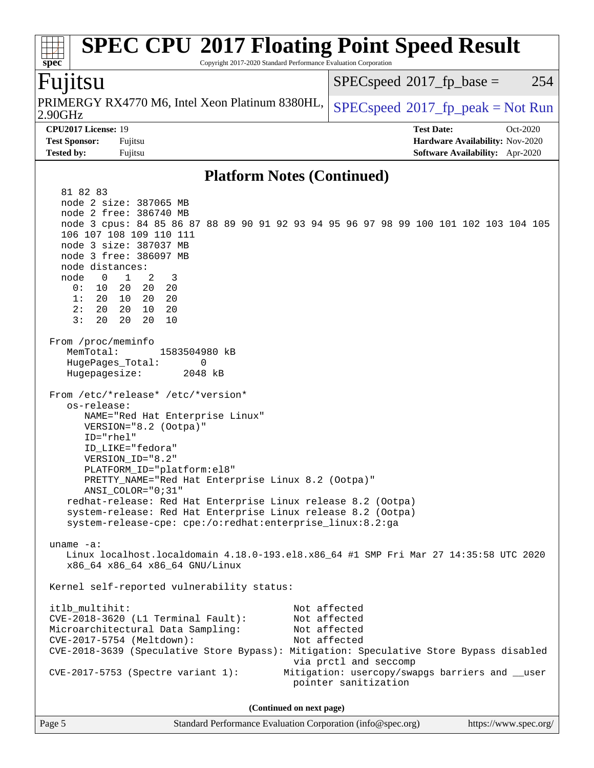#### **[spec](http://www.spec.org/) [SPEC CPU](http://www.spec.org/auto/cpu2017/Docs/result-fields.html#SPECCPU2017FloatingPointSpeedResult)[2017 Floating Point Speed Result](http://www.spec.org/auto/cpu2017/Docs/result-fields.html#SPECCPU2017FloatingPointSpeedResult)** Copyright 2017-2020 Standard Performance Evaluation Corporation Fujitsu  $SPECspeed*2017_fp\_base = 254$  $SPECspeed*2017_fp\_base = 254$

| PRIMERGY RX4770 M6, Intel Xeon Platinum 8380HL, $ SPEC speed^{\circ}2017_fp\_peak = Not Run$<br> 2.90GHz |                                        |            |
|----------------------------------------------------------------------------------------------------------|----------------------------------------|------------|
| <b>CPU2017 License: 19</b>                                                                               | <b>Test Date:</b>                      | $Oct-2020$ |
| <b>Test Sponsor:</b><br>Fujitsu                                                                          | <b>Hardware Availability: Nov-2020</b> |            |

#### **[Platform Notes \(Continued\)](http://www.spec.org/auto/cpu2017/Docs/result-fields.html#PlatformNotes)**

**[Tested by:](http://www.spec.org/auto/cpu2017/Docs/result-fields.html#Testedby)** Fujitsu **[Software Availability:](http://www.spec.org/auto/cpu2017/Docs/result-fields.html#SoftwareAvailability)** Apr-2020

| 81 82 83                                                                                              |  |  |  |  |  |  |  |
|-------------------------------------------------------------------------------------------------------|--|--|--|--|--|--|--|
| node 2 size: 387065 MB                                                                                |  |  |  |  |  |  |  |
| node 2 free: 386740 MB                                                                                |  |  |  |  |  |  |  |
| node 3 cpus: 84 85 86 87 88 89 90 91 92 93 94 95 96 97 98 99 100 101 102 103 104 105                  |  |  |  |  |  |  |  |
| 106 107 108 109 110 111                                                                               |  |  |  |  |  |  |  |
| node 3 size: 387037 MB                                                                                |  |  |  |  |  |  |  |
| node 3 free: 386097 MB                                                                                |  |  |  |  |  |  |  |
| node distances:                                                                                       |  |  |  |  |  |  |  |
| node 0 1<br>2                                                                                         |  |  |  |  |  |  |  |
| - 3<br>0: 10 20 20 20                                                                                 |  |  |  |  |  |  |  |
|                                                                                                       |  |  |  |  |  |  |  |
| 1: 20 10 20 20                                                                                        |  |  |  |  |  |  |  |
| 2: 20 20<br>20<br>10                                                                                  |  |  |  |  |  |  |  |
| 3:<br>20 20<br>20 10                                                                                  |  |  |  |  |  |  |  |
| From /proc/meminfo<br>MemTotal:<br>1583504980 kB<br>HugePages_Total:<br>0<br>Hugepagesize:<br>2048 kB |  |  |  |  |  |  |  |
| From /etc/*release* /etc/*version*                                                                    |  |  |  |  |  |  |  |
| os-release:                                                                                           |  |  |  |  |  |  |  |
| NAME="Red Hat Enterprise Linux"                                                                       |  |  |  |  |  |  |  |
| VERSION="8.2 (Ootpa)"                                                                                 |  |  |  |  |  |  |  |
| ID="rhel"                                                                                             |  |  |  |  |  |  |  |
| ID LIKE="fedora"                                                                                      |  |  |  |  |  |  |  |
| VERSION_ID="8.2"                                                                                      |  |  |  |  |  |  |  |
| PLATFORM_ID="platform:el8"                                                                            |  |  |  |  |  |  |  |
| PRETTY_NAME="Red Hat Enterprise Linux 8.2 (Ootpa)"                                                    |  |  |  |  |  |  |  |
| ANSI_COLOR="0;31"                                                                                     |  |  |  |  |  |  |  |
| redhat-release: Red Hat Enterprise Linux release 8.2 (Ootpa)                                          |  |  |  |  |  |  |  |
| system-release: Red Hat Enterprise Linux release 8.2 (Ootpa)                                          |  |  |  |  |  |  |  |
| system-release-cpe: cpe:/o:redhat:enterprise_linux:8.2:ga                                             |  |  |  |  |  |  |  |
|                                                                                                       |  |  |  |  |  |  |  |
| uname $-a$ :                                                                                          |  |  |  |  |  |  |  |
| Linux localhost.localdomain 4.18.0-193.el8.x86_64 #1 SMP Fri Mar 27 14:35:58 UTC 2020                 |  |  |  |  |  |  |  |
| x86_64 x86_64 x86_64 GNU/Linux                                                                        |  |  |  |  |  |  |  |
|                                                                                                       |  |  |  |  |  |  |  |
| Kernel self-reported vulnerability status:                                                            |  |  |  |  |  |  |  |
|                                                                                                       |  |  |  |  |  |  |  |
| Not affected<br>itlb multihit:                                                                        |  |  |  |  |  |  |  |
| CVE-2018-3620 (L1 Terminal Fault):<br>Not affected                                                    |  |  |  |  |  |  |  |
| Microarchitectural Data Sampling:<br>Not affected                                                     |  |  |  |  |  |  |  |
| CVE-2017-5754 (Meltdown):<br>Not affected                                                             |  |  |  |  |  |  |  |
| CVE-2018-3639 (Speculative Store Bypass): Mitigation: Speculative Store Bypass disabled               |  |  |  |  |  |  |  |
| via prctl and seccomp                                                                                 |  |  |  |  |  |  |  |
| CVE-2017-5753 (Spectre variant 1):<br>Mitigation: usercopy/swapgs barriers and __user                 |  |  |  |  |  |  |  |
| pointer sanitization                                                                                  |  |  |  |  |  |  |  |
|                                                                                                       |  |  |  |  |  |  |  |
| (Continued on next page)                                                                              |  |  |  |  |  |  |  |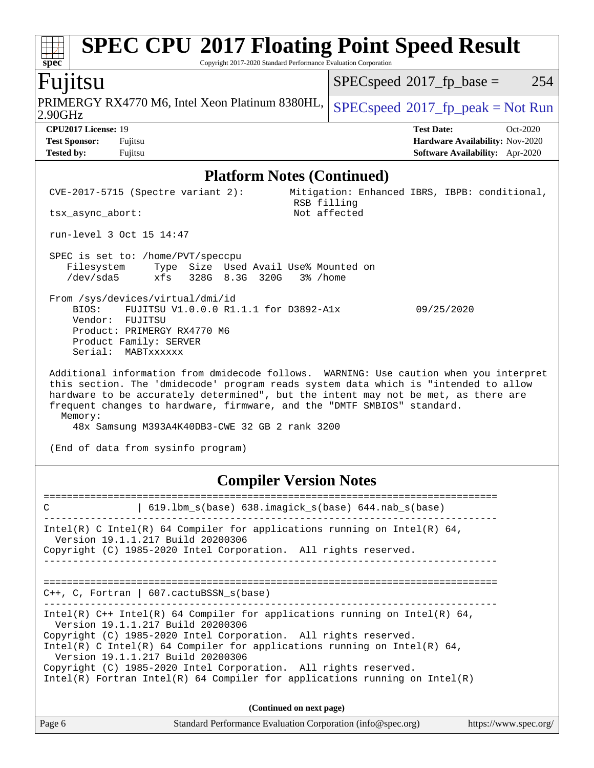Copyright 2017-2020 Standard Performance Evaluation Corporation

### Fujitsu

**[spec](http://www.spec.org/)**

2.90GHz PRIMERGY RX4770 M6, Intel Xeon Platinum 8380HL,  $SPEC speed^{\circ}2017\_fp\_peak = Not Run$ 

 $SPECspeed^{\circledcirc}2017_fp\_base = 254$  $SPECspeed^{\circledcirc}2017_fp\_base = 254$ 

**[CPU2017 License:](http://www.spec.org/auto/cpu2017/Docs/result-fields.html#CPU2017License)** 19 **[Test Date:](http://www.spec.org/auto/cpu2017/Docs/result-fields.html#TestDate)** Oct-2020 **[Test Sponsor:](http://www.spec.org/auto/cpu2017/Docs/result-fields.html#TestSponsor)** Fujitsu **[Hardware Availability:](http://www.spec.org/auto/cpu2017/Docs/result-fields.html#HardwareAvailability)** Nov-2020 **[Tested by:](http://www.spec.org/auto/cpu2017/Docs/result-fields.html#Testedby)** Fujitsu **[Software Availability:](http://www.spec.org/auto/cpu2017/Docs/result-fields.html#SoftwareAvailability)** Apr-2020

#### **[Platform Notes \(Continued\)](http://www.spec.org/auto/cpu2017/Docs/result-fields.html#PlatformNotes)**

| $CVE-2017-5715$ (Spectre variant 2):                                                                                                                                                                                                                                                                                                                                                                        | Mitigation: Enhanced IBRS, IBPB: conditional,<br>RSB filling |  |  |  |  |
|-------------------------------------------------------------------------------------------------------------------------------------------------------------------------------------------------------------------------------------------------------------------------------------------------------------------------------------------------------------------------------------------------------------|--------------------------------------------------------------|--|--|--|--|
| tsx async abort:                                                                                                                                                                                                                                                                                                                                                                                            | Not affected                                                 |  |  |  |  |
| run-level 3 Oct 15 14:47                                                                                                                                                                                                                                                                                                                                                                                    |                                                              |  |  |  |  |
| SPEC is set to: /home/PVT/speccpu<br>Filesystem Type Size Used Avail Use% Mounted on<br>/dev/sda5 xfs 328G 8.3G 320G 3% /home                                                                                                                                                                                                                                                                               |                                                              |  |  |  |  |
| From /sys/devices/virtual/dmi/id<br>BIOS: FUJITSU V1.0.0.0 R1.1.1 for D3892-A1x<br>09/25/2020<br>Vendor: FUJITSU<br>Product: PRIMERGY RX4770 M6<br>Product Family: SERVER<br>Serial: MABTxxxxxx                                                                                                                                                                                                             |                                                              |  |  |  |  |
| Additional information from dmidecode follows. WARNING: Use caution when you interpret<br>this section. The 'dmidecode' program reads system data which is "intended to allow<br>hardware to be accurately determined", but the intent may not be met, as there are<br>frequent changes to hardware, firmware, and the "DMTF SMBIOS" standard.<br>Memory:<br>48x Samsung M393A4K40DB3-CWE 32 GB 2 rank 3200 |                                                              |  |  |  |  |
| (End of data from sysinfo program)                                                                                                                                                                                                                                                                                                                                                                          |                                                              |  |  |  |  |
| <b>Compiler Version Notes</b>                                                                                                                                                                                                                                                                                                                                                                               |                                                              |  |  |  |  |
| C                                                                                                                                                                                                                                                                                                                                                                                                           | 619.1bm s(base) 638.imagick s(base) 644.nab s(base)          |  |  |  |  |

------------------------------------------------------------------------------ Intel(R) C Intel(R) 64 Compiler for applications running on Intel(R)  $64$ , Version 19.1.1.217 Build 20200306 Copyright (C) 1985-2020 Intel Corporation. All rights reserved. ------------------------------------------------------------------------------ ============================================================================== C++, C, Fortran | 607.cactuBSSN\_s(base) ------------------------------------------------------------------------------ Intel(R) C++ Intel(R) 64 Compiler for applications running on Intel(R)  $64$ , Version 19.1.1.217 Build 20200306 Copyright (C) 1985-2020 Intel Corporation. All rights reserved. Intel(R) C Intel(R) 64 Compiler for applications running on Intel(R)  $64$ , Version 19.1.1.217 Build 20200306 Copyright (C) 1985-2020 Intel Corporation. All rights reserved. Intel(R) Fortran Intel(R) 64 Compiler for applications running on Intel(R) **(Continued on next page)**

Page 6 Standard Performance Evaluation Corporation [\(info@spec.org\)](mailto:info@spec.org) <https://www.spec.org/>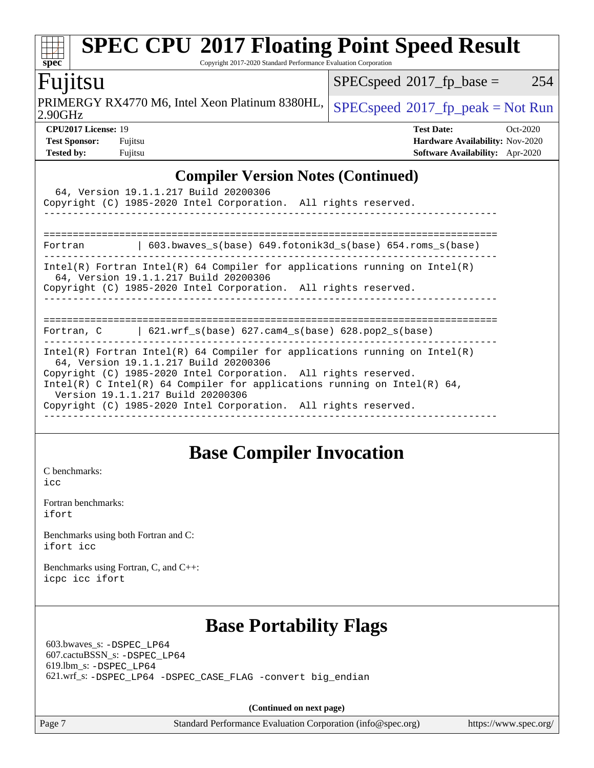Copyright 2017-2020 Standard Performance Evaluation Corporation

## **ujitsu**

 $\overline{2}$ .90GHz PRIMERGY RX4770 M6, Intel Xeon Platinum 8380HL,  $SPEC speed^{\circ}2017\_fp\_peak = Not Run$ 

 $SPECspeed*2017_fp\_base = 254$  $SPECspeed*2017_fp\_base = 254$ 

**[spec](http://www.spec.org/)**

| <b>CPU2017 License: 19</b> |        |
|----------------------------|--------|
| <b>Test Sponsor:</b>       | Fujits |
|                            |        |

**[CPU2017 License:](http://www.spec.org/auto/cpu2017/Docs/result-fields.html#CPU2017License)** 19 **[Test Date:](http://www.spec.org/auto/cpu2017/Docs/result-fields.html#TestDate)** Oct-2020 **[Test Sponsor:](http://www.spec.org/auto/cpu2017/Docs/result-fields.html#TestSponsor)** Fujitsu **[Hardware Availability:](http://www.spec.org/auto/cpu2017/Docs/result-fields.html#HardwareAvailability)** Nov-2020 **[Tested by:](http://www.spec.org/auto/cpu2017/Docs/result-fields.html#Testedby)** Fujitsu **[Software Availability:](http://www.spec.org/auto/cpu2017/Docs/result-fields.html#SoftwareAvailability)** Apr-2020

#### **[Compiler Version Notes \(Continued\)](http://www.spec.org/auto/cpu2017/Docs/result-fields.html#CompilerVersionNotes)**

|                                   | 64, Version 19.1.1.217 Build 20200306<br>Copyright (C) 1985-2020 Intel Corporation. All rights reserved.                                                                    |                                                                                                                                                          |
|-----------------------------------|-----------------------------------------------------------------------------------------------------------------------------------------------------------------------------|----------------------------------------------------------------------------------------------------------------------------------------------------------|
|                                   |                                                                                                                                                                             | Fortran 		   603.bwaves_s(base) 649.fotonik3d_s(base) 654.roms_s(base)                                                                                   |
|                                   | 64, Version 19.1.1.217 Build 20200306<br>Copyright (C) 1985-2020 Intel Corporation. All rights reserved.                                                                    | Intel(R) Fortran Intel(R) 64 Compiler for applications running on Intel(R)                                                                               |
|                                   |                                                                                                                                                                             | Fortran, $C = \begin{bmatrix} 621.wrf_s(base) & 627.cam4_s(base) & 628.pop2_s(base) \end{bmatrix}$                                                       |
| Version 19.1.1.217 Build 20200306 | 64, Version 19.1.1.217 Build 20200306<br>Copyright (C) 1985-2020 Intel Corporation. All rights reserved.<br>Copyright (C) 1985-2020 Intel Corporation. All rights reserved. | $Intel(R)$ Fortran Intel(R) 64 Compiler for applications running on Intel(R)<br>Intel(R) C Intel(R) 64 Compiler for applications running on Intel(R) 64, |

## **[Base Compiler Invocation](http://www.spec.org/auto/cpu2017/Docs/result-fields.html#BaseCompilerInvocation)**

[C benchmarks](http://www.spec.org/auto/cpu2017/Docs/result-fields.html#Cbenchmarks): [icc](http://www.spec.org/cpu2017/results/res2020q4/cpu2017-20201013-24200.flags.html#user_CCbase_intel_icc_66fc1ee009f7361af1fbd72ca7dcefbb700085f36577c54f309893dd4ec40d12360134090235512931783d35fd58c0460139e722d5067c5574d8eaf2b3e37e92)

[Fortran benchmarks](http://www.spec.org/auto/cpu2017/Docs/result-fields.html#Fortranbenchmarks): [ifort](http://www.spec.org/cpu2017/results/res2020q4/cpu2017-20201013-24200.flags.html#user_FCbase_intel_ifort_8111460550e3ca792625aed983ce982f94888b8b503583aa7ba2b8303487b4d8a21a13e7191a45c5fd58ff318f48f9492884d4413fa793fd88dd292cad7027ca)

[Benchmarks using both Fortran and C](http://www.spec.org/auto/cpu2017/Docs/result-fields.html#BenchmarksusingbothFortranandC): [ifort](http://www.spec.org/cpu2017/results/res2020q4/cpu2017-20201013-24200.flags.html#user_CC_FCbase_intel_ifort_8111460550e3ca792625aed983ce982f94888b8b503583aa7ba2b8303487b4d8a21a13e7191a45c5fd58ff318f48f9492884d4413fa793fd88dd292cad7027ca) [icc](http://www.spec.org/cpu2017/results/res2020q4/cpu2017-20201013-24200.flags.html#user_CC_FCbase_intel_icc_66fc1ee009f7361af1fbd72ca7dcefbb700085f36577c54f309893dd4ec40d12360134090235512931783d35fd58c0460139e722d5067c5574d8eaf2b3e37e92)

[Benchmarks using Fortran, C, and C++:](http://www.spec.org/auto/cpu2017/Docs/result-fields.html#BenchmarksusingFortranCandCXX) [icpc](http://www.spec.org/cpu2017/results/res2020q4/cpu2017-20201013-24200.flags.html#user_CC_CXX_FCbase_intel_icpc_c510b6838c7f56d33e37e94d029a35b4a7bccf4766a728ee175e80a419847e808290a9b78be685c44ab727ea267ec2f070ec5dc83b407c0218cded6866a35d07) [icc](http://www.spec.org/cpu2017/results/res2020q4/cpu2017-20201013-24200.flags.html#user_CC_CXX_FCbase_intel_icc_66fc1ee009f7361af1fbd72ca7dcefbb700085f36577c54f309893dd4ec40d12360134090235512931783d35fd58c0460139e722d5067c5574d8eaf2b3e37e92) [ifort](http://www.spec.org/cpu2017/results/res2020q4/cpu2017-20201013-24200.flags.html#user_CC_CXX_FCbase_intel_ifort_8111460550e3ca792625aed983ce982f94888b8b503583aa7ba2b8303487b4d8a21a13e7191a45c5fd58ff318f48f9492884d4413fa793fd88dd292cad7027ca)

## **[Base Portability Flags](http://www.spec.org/auto/cpu2017/Docs/result-fields.html#BasePortabilityFlags)**

 603.bwaves\_s: [-DSPEC\\_LP64](http://www.spec.org/cpu2017/results/res2020q4/cpu2017-20201013-24200.flags.html#suite_basePORTABILITY603_bwaves_s_DSPEC_LP64) 607.cactuBSSN\_s: [-DSPEC\\_LP64](http://www.spec.org/cpu2017/results/res2020q4/cpu2017-20201013-24200.flags.html#suite_basePORTABILITY607_cactuBSSN_s_DSPEC_LP64) 619.lbm\_s: [-DSPEC\\_LP64](http://www.spec.org/cpu2017/results/res2020q4/cpu2017-20201013-24200.flags.html#suite_basePORTABILITY619_lbm_s_DSPEC_LP64) 621.wrf\_s: [-DSPEC\\_LP64](http://www.spec.org/cpu2017/results/res2020q4/cpu2017-20201013-24200.flags.html#suite_basePORTABILITY621_wrf_s_DSPEC_LP64) [-DSPEC\\_CASE\\_FLAG](http://www.spec.org/cpu2017/results/res2020q4/cpu2017-20201013-24200.flags.html#b621.wrf_s_baseCPORTABILITY_DSPEC_CASE_FLAG) [-convert big\\_endian](http://www.spec.org/cpu2017/results/res2020q4/cpu2017-20201013-24200.flags.html#user_baseFPORTABILITY621_wrf_s_convert_big_endian_c3194028bc08c63ac5d04de18c48ce6d347e4e562e8892b8bdbdc0214820426deb8554edfa529a3fb25a586e65a3d812c835984020483e7e73212c4d31a38223)

**(Continued on next page)**

Page 7 Standard Performance Evaluation Corporation [\(info@spec.org\)](mailto:info@spec.org) <https://www.spec.org/>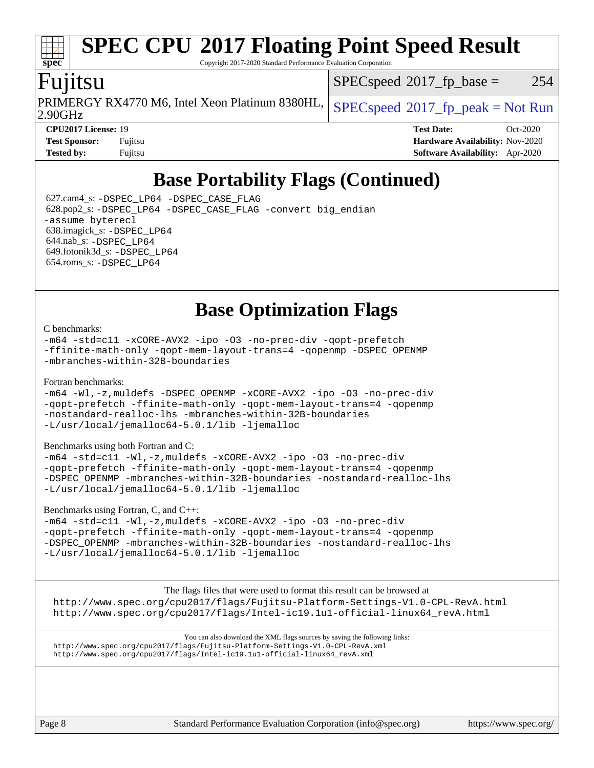Copyright 2017-2020 Standard Performance Evaluation Corporation

## Fujitsu

2.90GHz PRIMERGY RX4770 M6, Intel Xeon Platinum 8380HL,  $SPEC speed^{\circ}2017\_fp\_peak = Not Run$ 

 $SPEC speed^{\circ}2017\_fp\_base = 254$ 

**[spec](http://www.spec.org/)**

**[Tested by:](http://www.spec.org/auto/cpu2017/Docs/result-fields.html#Testedby)** Fujitsu **[Software Availability:](http://www.spec.org/auto/cpu2017/Docs/result-fields.html#SoftwareAvailability)** Apr-2020

**[CPU2017 License:](http://www.spec.org/auto/cpu2017/Docs/result-fields.html#CPU2017License)** 19 **[Test Date:](http://www.spec.org/auto/cpu2017/Docs/result-fields.html#TestDate)** Oct-2020 **[Test Sponsor:](http://www.spec.org/auto/cpu2017/Docs/result-fields.html#TestSponsor)** Fujitsu **[Hardware Availability:](http://www.spec.org/auto/cpu2017/Docs/result-fields.html#HardwareAvailability)** Nov-2020

## **[Base Portability Flags \(Continued\)](http://www.spec.org/auto/cpu2017/Docs/result-fields.html#BasePortabilityFlags)**

 627.cam4\_s: [-DSPEC\\_LP64](http://www.spec.org/cpu2017/results/res2020q4/cpu2017-20201013-24200.flags.html#suite_basePORTABILITY627_cam4_s_DSPEC_LP64) [-DSPEC\\_CASE\\_FLAG](http://www.spec.org/cpu2017/results/res2020q4/cpu2017-20201013-24200.flags.html#b627.cam4_s_baseCPORTABILITY_DSPEC_CASE_FLAG) 628.pop2\_s: [-DSPEC\\_LP64](http://www.spec.org/cpu2017/results/res2020q4/cpu2017-20201013-24200.flags.html#suite_basePORTABILITY628_pop2_s_DSPEC_LP64) [-DSPEC\\_CASE\\_FLAG](http://www.spec.org/cpu2017/results/res2020q4/cpu2017-20201013-24200.flags.html#b628.pop2_s_baseCPORTABILITY_DSPEC_CASE_FLAG) [-convert big\\_endian](http://www.spec.org/cpu2017/results/res2020q4/cpu2017-20201013-24200.flags.html#user_baseFPORTABILITY628_pop2_s_convert_big_endian_c3194028bc08c63ac5d04de18c48ce6d347e4e562e8892b8bdbdc0214820426deb8554edfa529a3fb25a586e65a3d812c835984020483e7e73212c4d31a38223) [-assume byterecl](http://www.spec.org/cpu2017/results/res2020q4/cpu2017-20201013-24200.flags.html#user_baseFPORTABILITY628_pop2_s_assume_byterecl_7e47d18b9513cf18525430bbf0f2177aa9bf368bc7a059c09b2c06a34b53bd3447c950d3f8d6c70e3faf3a05c8557d66a5798b567902e8849adc142926523472) 638.imagick\_s: [-DSPEC\\_LP64](http://www.spec.org/cpu2017/results/res2020q4/cpu2017-20201013-24200.flags.html#suite_basePORTABILITY638_imagick_s_DSPEC_LP64) 644.nab\_s: [-DSPEC\\_LP64](http://www.spec.org/cpu2017/results/res2020q4/cpu2017-20201013-24200.flags.html#suite_basePORTABILITY644_nab_s_DSPEC_LP64) 649.fotonik3d\_s: [-DSPEC\\_LP64](http://www.spec.org/cpu2017/results/res2020q4/cpu2017-20201013-24200.flags.html#suite_basePORTABILITY649_fotonik3d_s_DSPEC_LP64) 654.roms\_s: [-DSPEC\\_LP64](http://www.spec.org/cpu2017/results/res2020q4/cpu2017-20201013-24200.flags.html#suite_basePORTABILITY654_roms_s_DSPEC_LP64)

**[Base Optimization Flags](http://www.spec.org/auto/cpu2017/Docs/result-fields.html#BaseOptimizationFlags)**

#### [C benchmarks](http://www.spec.org/auto/cpu2017/Docs/result-fields.html#Cbenchmarks):

[-m64](http://www.spec.org/cpu2017/results/res2020q4/cpu2017-20201013-24200.flags.html#user_CCbase_m64-icc) [-std=c11](http://www.spec.org/cpu2017/results/res2020q4/cpu2017-20201013-24200.flags.html#user_CCbase_std-icc-std_0e1c27790398a4642dfca32ffe6c27b5796f9c2d2676156f2e42c9c44eaad0c049b1cdb667a270c34d979996257aeb8fc440bfb01818dbc9357bd9d174cb8524) [-xCORE-AVX2](http://www.spec.org/cpu2017/results/res2020q4/cpu2017-20201013-24200.flags.html#user_CCbase_f-xCORE-AVX2) [-ipo](http://www.spec.org/cpu2017/results/res2020q4/cpu2017-20201013-24200.flags.html#user_CCbase_f-ipo) [-O3](http://www.spec.org/cpu2017/results/res2020q4/cpu2017-20201013-24200.flags.html#user_CCbase_f-O3) [-no-prec-div](http://www.spec.org/cpu2017/results/res2020q4/cpu2017-20201013-24200.flags.html#user_CCbase_f-no-prec-div) [-qopt-prefetch](http://www.spec.org/cpu2017/results/res2020q4/cpu2017-20201013-24200.flags.html#user_CCbase_f-qopt-prefetch) [-ffinite-math-only](http://www.spec.org/cpu2017/results/res2020q4/cpu2017-20201013-24200.flags.html#user_CCbase_f_finite_math_only_cb91587bd2077682c4b38af759c288ed7c732db004271a9512da14a4f8007909a5f1427ecbf1a0fb78ff2a814402c6114ac565ca162485bbcae155b5e4258871) [-qopt-mem-layout-trans=4](http://www.spec.org/cpu2017/results/res2020q4/cpu2017-20201013-24200.flags.html#user_CCbase_f-qopt-mem-layout-trans_fa39e755916c150a61361b7846f310bcdf6f04e385ef281cadf3647acec3f0ae266d1a1d22d972a7087a248fd4e6ca390a3634700869573d231a252c784941a8) [-qopenmp](http://www.spec.org/cpu2017/results/res2020q4/cpu2017-20201013-24200.flags.html#user_CCbase_qopenmp_16be0c44f24f464004c6784a7acb94aca937f053568ce72f94b139a11c7c168634a55f6653758ddd83bcf7b8463e8028bb0b48b77bcddc6b78d5d95bb1df2967) [-DSPEC\\_OPENMP](http://www.spec.org/cpu2017/results/res2020q4/cpu2017-20201013-24200.flags.html#suite_CCbase_DSPEC_OPENMP) [-mbranches-within-32B-boundaries](http://www.spec.org/cpu2017/results/res2020q4/cpu2017-20201013-24200.flags.html#user_CCbase_f-mbranches-within-32B-boundaries)

#### [Fortran benchmarks](http://www.spec.org/auto/cpu2017/Docs/result-fields.html#Fortranbenchmarks):

[-m64](http://www.spec.org/cpu2017/results/res2020q4/cpu2017-20201013-24200.flags.html#user_FCbase_m64-icc) [-Wl,-z,muldefs](http://www.spec.org/cpu2017/results/res2020q4/cpu2017-20201013-24200.flags.html#user_FCbase_link_force_multiple1_b4cbdb97b34bdee9ceefcfe54f4c8ea74255f0b02a4b23e853cdb0e18eb4525ac79b5a88067c842dd0ee6996c24547a27a4b99331201badda8798ef8a743f577) [-DSPEC\\_OPENMP](http://www.spec.org/cpu2017/results/res2020q4/cpu2017-20201013-24200.flags.html#suite_FCbase_DSPEC_OPENMP) [-xCORE-AVX2](http://www.spec.org/cpu2017/results/res2020q4/cpu2017-20201013-24200.flags.html#user_FCbase_f-xCORE-AVX2) [-ipo](http://www.spec.org/cpu2017/results/res2020q4/cpu2017-20201013-24200.flags.html#user_FCbase_f-ipo) [-O3](http://www.spec.org/cpu2017/results/res2020q4/cpu2017-20201013-24200.flags.html#user_FCbase_f-O3) [-no-prec-div](http://www.spec.org/cpu2017/results/res2020q4/cpu2017-20201013-24200.flags.html#user_FCbase_f-no-prec-div) [-qopt-prefetch](http://www.spec.org/cpu2017/results/res2020q4/cpu2017-20201013-24200.flags.html#user_FCbase_f-qopt-prefetch) [-ffinite-math-only](http://www.spec.org/cpu2017/results/res2020q4/cpu2017-20201013-24200.flags.html#user_FCbase_f_finite_math_only_cb91587bd2077682c4b38af759c288ed7c732db004271a9512da14a4f8007909a5f1427ecbf1a0fb78ff2a814402c6114ac565ca162485bbcae155b5e4258871) [-qopt-mem-layout-trans=4](http://www.spec.org/cpu2017/results/res2020q4/cpu2017-20201013-24200.flags.html#user_FCbase_f-qopt-mem-layout-trans_fa39e755916c150a61361b7846f310bcdf6f04e385ef281cadf3647acec3f0ae266d1a1d22d972a7087a248fd4e6ca390a3634700869573d231a252c784941a8) [-qopenmp](http://www.spec.org/cpu2017/results/res2020q4/cpu2017-20201013-24200.flags.html#user_FCbase_qopenmp_16be0c44f24f464004c6784a7acb94aca937f053568ce72f94b139a11c7c168634a55f6653758ddd83bcf7b8463e8028bb0b48b77bcddc6b78d5d95bb1df2967) [-nostandard-realloc-lhs](http://www.spec.org/cpu2017/results/res2020q4/cpu2017-20201013-24200.flags.html#user_FCbase_f_2003_std_realloc_82b4557e90729c0f113870c07e44d33d6f5a304b4f63d4c15d2d0f1fab99f5daaed73bdb9275d9ae411527f28b936061aa8b9c8f2d63842963b95c9dd6426b8a) [-mbranches-within-32B-boundaries](http://www.spec.org/cpu2017/results/res2020q4/cpu2017-20201013-24200.flags.html#user_FCbase_f-mbranches-within-32B-boundaries) [-L/usr/local/jemalloc64-5.0.1/lib](http://www.spec.org/cpu2017/results/res2020q4/cpu2017-20201013-24200.flags.html#user_FCbase_jemalloc_link_path64_1_cc289568b1a6c0fd3b62c91b824c27fcb5af5e8098e6ad028160d21144ef1b8aef3170d2acf0bee98a8da324cfe4f67d0a3d0c4cc4673d993d694dc2a0df248b) [-ljemalloc](http://www.spec.org/cpu2017/results/res2020q4/cpu2017-20201013-24200.flags.html#user_FCbase_jemalloc_link_lib_d1249b907c500fa1c0672f44f562e3d0f79738ae9e3c4a9c376d49f265a04b9c99b167ecedbf6711b3085be911c67ff61f150a17b3472be731631ba4d0471706)

#### [Benchmarks using both Fortran and C](http://www.spec.org/auto/cpu2017/Docs/result-fields.html#BenchmarksusingbothFortranandC):

[-m64](http://www.spec.org/cpu2017/results/res2020q4/cpu2017-20201013-24200.flags.html#user_CC_FCbase_m64-icc) [-std=c11](http://www.spec.org/cpu2017/results/res2020q4/cpu2017-20201013-24200.flags.html#user_CC_FCbase_std-icc-std_0e1c27790398a4642dfca32ffe6c27b5796f9c2d2676156f2e42c9c44eaad0c049b1cdb667a270c34d979996257aeb8fc440bfb01818dbc9357bd9d174cb8524) [-Wl,-z,muldefs](http://www.spec.org/cpu2017/results/res2020q4/cpu2017-20201013-24200.flags.html#user_CC_FCbase_link_force_multiple1_b4cbdb97b34bdee9ceefcfe54f4c8ea74255f0b02a4b23e853cdb0e18eb4525ac79b5a88067c842dd0ee6996c24547a27a4b99331201badda8798ef8a743f577) [-xCORE-AVX2](http://www.spec.org/cpu2017/results/res2020q4/cpu2017-20201013-24200.flags.html#user_CC_FCbase_f-xCORE-AVX2) [-ipo](http://www.spec.org/cpu2017/results/res2020q4/cpu2017-20201013-24200.flags.html#user_CC_FCbase_f-ipo) [-O3](http://www.spec.org/cpu2017/results/res2020q4/cpu2017-20201013-24200.flags.html#user_CC_FCbase_f-O3) [-no-prec-div](http://www.spec.org/cpu2017/results/res2020q4/cpu2017-20201013-24200.flags.html#user_CC_FCbase_f-no-prec-div) [-qopt-prefetch](http://www.spec.org/cpu2017/results/res2020q4/cpu2017-20201013-24200.flags.html#user_CC_FCbase_f-qopt-prefetch) [-ffinite-math-only](http://www.spec.org/cpu2017/results/res2020q4/cpu2017-20201013-24200.flags.html#user_CC_FCbase_f_finite_math_only_cb91587bd2077682c4b38af759c288ed7c732db004271a9512da14a4f8007909a5f1427ecbf1a0fb78ff2a814402c6114ac565ca162485bbcae155b5e4258871) [-qopt-mem-layout-trans=4](http://www.spec.org/cpu2017/results/res2020q4/cpu2017-20201013-24200.flags.html#user_CC_FCbase_f-qopt-mem-layout-trans_fa39e755916c150a61361b7846f310bcdf6f04e385ef281cadf3647acec3f0ae266d1a1d22d972a7087a248fd4e6ca390a3634700869573d231a252c784941a8) [-qopenmp](http://www.spec.org/cpu2017/results/res2020q4/cpu2017-20201013-24200.flags.html#user_CC_FCbase_qopenmp_16be0c44f24f464004c6784a7acb94aca937f053568ce72f94b139a11c7c168634a55f6653758ddd83bcf7b8463e8028bb0b48b77bcddc6b78d5d95bb1df2967) [-DSPEC\\_OPENMP](http://www.spec.org/cpu2017/results/res2020q4/cpu2017-20201013-24200.flags.html#suite_CC_FCbase_DSPEC_OPENMP) [-mbranches-within-32B-boundaries](http://www.spec.org/cpu2017/results/res2020q4/cpu2017-20201013-24200.flags.html#user_CC_FCbase_f-mbranches-within-32B-boundaries) [-nostandard-realloc-lhs](http://www.spec.org/cpu2017/results/res2020q4/cpu2017-20201013-24200.flags.html#user_CC_FCbase_f_2003_std_realloc_82b4557e90729c0f113870c07e44d33d6f5a304b4f63d4c15d2d0f1fab99f5daaed73bdb9275d9ae411527f28b936061aa8b9c8f2d63842963b95c9dd6426b8a) [-L/usr/local/jemalloc64-5.0.1/lib](http://www.spec.org/cpu2017/results/res2020q4/cpu2017-20201013-24200.flags.html#user_CC_FCbase_jemalloc_link_path64_1_cc289568b1a6c0fd3b62c91b824c27fcb5af5e8098e6ad028160d21144ef1b8aef3170d2acf0bee98a8da324cfe4f67d0a3d0c4cc4673d993d694dc2a0df248b) [-ljemalloc](http://www.spec.org/cpu2017/results/res2020q4/cpu2017-20201013-24200.flags.html#user_CC_FCbase_jemalloc_link_lib_d1249b907c500fa1c0672f44f562e3d0f79738ae9e3c4a9c376d49f265a04b9c99b167ecedbf6711b3085be911c67ff61f150a17b3472be731631ba4d0471706)

[Benchmarks using Fortran, C, and C++:](http://www.spec.org/auto/cpu2017/Docs/result-fields.html#BenchmarksusingFortranCandCXX)

[-m64](http://www.spec.org/cpu2017/results/res2020q4/cpu2017-20201013-24200.flags.html#user_CC_CXX_FCbase_m64-icc) [-std=c11](http://www.spec.org/cpu2017/results/res2020q4/cpu2017-20201013-24200.flags.html#user_CC_CXX_FCbase_std-icc-std_0e1c27790398a4642dfca32ffe6c27b5796f9c2d2676156f2e42c9c44eaad0c049b1cdb667a270c34d979996257aeb8fc440bfb01818dbc9357bd9d174cb8524) [-Wl,-z,muldefs](http://www.spec.org/cpu2017/results/res2020q4/cpu2017-20201013-24200.flags.html#user_CC_CXX_FCbase_link_force_multiple1_b4cbdb97b34bdee9ceefcfe54f4c8ea74255f0b02a4b23e853cdb0e18eb4525ac79b5a88067c842dd0ee6996c24547a27a4b99331201badda8798ef8a743f577) [-xCORE-AVX2](http://www.spec.org/cpu2017/results/res2020q4/cpu2017-20201013-24200.flags.html#user_CC_CXX_FCbase_f-xCORE-AVX2) [-ipo](http://www.spec.org/cpu2017/results/res2020q4/cpu2017-20201013-24200.flags.html#user_CC_CXX_FCbase_f-ipo) [-O3](http://www.spec.org/cpu2017/results/res2020q4/cpu2017-20201013-24200.flags.html#user_CC_CXX_FCbase_f-O3) [-no-prec-div](http://www.spec.org/cpu2017/results/res2020q4/cpu2017-20201013-24200.flags.html#user_CC_CXX_FCbase_f-no-prec-div) [-qopt-prefetch](http://www.spec.org/cpu2017/results/res2020q4/cpu2017-20201013-24200.flags.html#user_CC_CXX_FCbase_f-qopt-prefetch) [-ffinite-math-only](http://www.spec.org/cpu2017/results/res2020q4/cpu2017-20201013-24200.flags.html#user_CC_CXX_FCbase_f_finite_math_only_cb91587bd2077682c4b38af759c288ed7c732db004271a9512da14a4f8007909a5f1427ecbf1a0fb78ff2a814402c6114ac565ca162485bbcae155b5e4258871) [-qopt-mem-layout-trans=4](http://www.spec.org/cpu2017/results/res2020q4/cpu2017-20201013-24200.flags.html#user_CC_CXX_FCbase_f-qopt-mem-layout-trans_fa39e755916c150a61361b7846f310bcdf6f04e385ef281cadf3647acec3f0ae266d1a1d22d972a7087a248fd4e6ca390a3634700869573d231a252c784941a8) [-qopenmp](http://www.spec.org/cpu2017/results/res2020q4/cpu2017-20201013-24200.flags.html#user_CC_CXX_FCbase_qopenmp_16be0c44f24f464004c6784a7acb94aca937f053568ce72f94b139a11c7c168634a55f6653758ddd83bcf7b8463e8028bb0b48b77bcddc6b78d5d95bb1df2967) [-DSPEC\\_OPENMP](http://www.spec.org/cpu2017/results/res2020q4/cpu2017-20201013-24200.flags.html#suite_CC_CXX_FCbase_DSPEC_OPENMP) [-mbranches-within-32B-boundaries](http://www.spec.org/cpu2017/results/res2020q4/cpu2017-20201013-24200.flags.html#user_CC_CXX_FCbase_f-mbranches-within-32B-boundaries) [-nostandard-realloc-lhs](http://www.spec.org/cpu2017/results/res2020q4/cpu2017-20201013-24200.flags.html#user_CC_CXX_FCbase_f_2003_std_realloc_82b4557e90729c0f113870c07e44d33d6f5a304b4f63d4c15d2d0f1fab99f5daaed73bdb9275d9ae411527f28b936061aa8b9c8f2d63842963b95c9dd6426b8a) [-L/usr/local/jemalloc64-5.0.1/lib](http://www.spec.org/cpu2017/results/res2020q4/cpu2017-20201013-24200.flags.html#user_CC_CXX_FCbase_jemalloc_link_path64_1_cc289568b1a6c0fd3b62c91b824c27fcb5af5e8098e6ad028160d21144ef1b8aef3170d2acf0bee98a8da324cfe4f67d0a3d0c4cc4673d993d694dc2a0df248b) [-ljemalloc](http://www.spec.org/cpu2017/results/res2020q4/cpu2017-20201013-24200.flags.html#user_CC_CXX_FCbase_jemalloc_link_lib_d1249b907c500fa1c0672f44f562e3d0f79738ae9e3c4a9c376d49f265a04b9c99b167ecedbf6711b3085be911c67ff61f150a17b3472be731631ba4d0471706)

[The flags files that were used to format this result can be browsed at](tmsearch)

<http://www.spec.org/cpu2017/flags/Fujitsu-Platform-Settings-V1.0-CPL-RevA.html> [http://www.spec.org/cpu2017/flags/Intel-ic19.1u1-official-linux64\\_revA.html](http://www.spec.org/cpu2017/flags/Intel-ic19.1u1-official-linux64_revA.html)

[You can also download the XML flags sources by saving the following links:](tmsearch) <http://www.spec.org/cpu2017/flags/Fujitsu-Platform-Settings-V1.0-CPL-RevA.xml> [http://www.spec.org/cpu2017/flags/Intel-ic19.1u1-official-linux64\\_revA.xml](http://www.spec.org/cpu2017/flags/Intel-ic19.1u1-official-linux64_revA.xml)